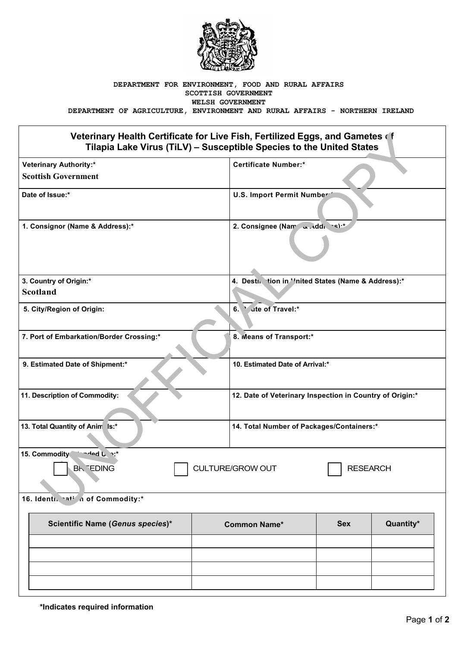

## **DEPARTMENT FOR ENVIRONMENT, FOOD AND RURAL AFFAIRS SCOTTISH GOVERNMENT WELSH GOVERNMENT**

**DEPARTMENT OF AGRICULTURE, ENVIRONMENT AND RURAL AFFAIRS - NORTHERN IRELAND**

## **Veterinary Health Certificate for Live Fish, Fertilized Eggs, and Gametes of Tilapia Lake Virus (TiLV) – Susceptible Species to the United States**

| Veterinary Health Certificate for Live Fish, Fertilized Eggs, and Gametes of<br>Tilapia Lake Virus (TiLV) - Susceptible Species to the United States |                                |                                                          |                 |           |
|------------------------------------------------------------------------------------------------------------------------------------------------------|--------------------------------|----------------------------------------------------------|-----------------|-----------|
| <b>Veterinary Authority:*</b><br><b>Scottish Government</b>                                                                                          |                                | <b>Certificate Number:*</b>                              |                 |           |
| Date of Issue:*                                                                                                                                      |                                | U.S. Import Permit Number                                |                 |           |
| 1. Consignor (Name & Address):*                                                                                                                      | 2. Consignee (Nam and di cs):* |                                                          |                 |           |
| 3. Country of Origin:*                                                                                                                               |                                | 4. Destin tion in ''nited States (Name & Address):*      |                 |           |
| <b>Scotland</b>                                                                                                                                      |                                |                                                          |                 |           |
| 5. City/Region of Origin:                                                                                                                            |                                | ute of Travel:*<br>6.                                    |                 |           |
| 7. Port of Embarkation/Border Crossing:*                                                                                                             |                                | 8. Means of Transport:*                                  |                 |           |
| 9. Estimated Date of Shipment:*                                                                                                                      |                                | 10. Estimated Date of Arrival:*                          |                 |           |
| 11. Description of Commodity:                                                                                                                        |                                | 12. Date of Veterinary Inspection in Country of Origin:* |                 |           |
| 13. Total Quantity of Anim Is:*                                                                                                                      |                                | 14. Total Number of Packages/Containers:*                |                 |           |
| 15. Commodity<br>$A = 0$ only<br><b>BK EDING</b>                                                                                                     |                                | <b>CULTURE/GROW OUT</b>                                  | <b>RESEARCH</b> |           |
| 16. Identi. hati in of Commodity:*                                                                                                                   |                                |                                                          |                 |           |
| Scientific Name (Genus species)*                                                                                                                     |                                | <b>Common Name*</b>                                      | <b>Sex</b>      | Quantity* |
|                                                                                                                                                      |                                |                                                          |                 |           |
|                                                                                                                                                      |                                |                                                          |                 |           |
|                                                                                                                                                      |                                |                                                          |                 |           |
|                                                                                                                                                      |                                |                                                          |                 |           |